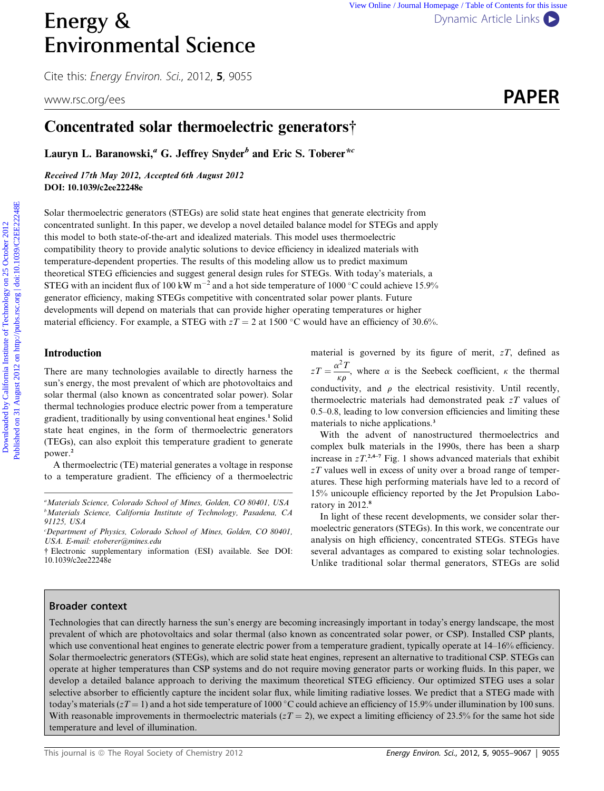# Energy & [Dynamic Article Links](http://dx.doi.org/10.1039/c2ee22248e) Environmental Science

Cite this: Energy Environ. Sci., 2012, <sup>5</sup>, 9055

www.rsc.org/ees **PAPER** 

## Concentrated solar thermoelectric generators†

Lauryn L. Baranowski,<sup>a</sup> G. Jeffrey Snyder<sup>b</sup> and Eric S. Toberer<sup>\*c</sup>

Received 17th May 2012, Accepted 6th August 2012 DOI: 10.1039/c2ee22248e

Solar thermoelectric generators (STEGs) are solid state heat engines that generate electricity from concentrated sunlight. In this paper, we develop a novel detailed balance model for STEGs and apply this model to both state-of-the-art and idealized materials. This model uses thermoelectric compatibility theory to provide analytic solutions to device efficiency in idealized materials with temperature-dependent properties. The results of this modeling allow us to predict maximum theoretical STEG efficiencies and suggest general design rules for STEGs. With today's materials, a STEG with an incident flux of 100 kW m<sup>-2</sup> and a hot side temperature of 1000 °C could achieve 15.9% generator efficiency, making STEGs competitive with concentrated solar power plants. Future developments will depend on materials that can provide higher operating temperatures or higher material efficiency. For example, a STEG with  $zT = 2$  at 1500 °C would have an efficiency of 30.6%. **Energy &**<br> **Concentrated solar thermoelectric generators**<sup>4</sup><br>
Concentrated solar thermoelectric generators<sup>2</sup><br> **Concentrated solar thermoelectric generators**<sup>2</sup><br> **Laury 1. Examovski,<sup>a</sup> G. Jeffrey Sayde<sup>4</sup> and Eric S. To** 

### Introduction

There are many technologies available to directly harness the sun's energy, the most prevalent of which are photovoltaics and solar thermal (also known as concentrated solar power). Solar thermal technologies produce electric power from a temperature gradient, traditionally by using conventional heat engines.<sup>1</sup> Solid state heat engines, in the form of thermoelectric generators (TEGs), can also exploit this temperature gradient to generate power.<sup>2</sup>

A thermoelectric (TE) material generates a voltage in response to a temperature gradient. The efficiency of a thermoelectric material is governed by its figure of merit,  $zT$ , defined as  $zT = \frac{\alpha^2 T}{\kappa \rho}$ , where  $\alpha$  is the Seebeck coefficient,  $\kappa$  the thermal conductivity, and  $\rho$  the electrical resistivity. Until recently, thermoelectric materials had demonstrated neak  $\sigma T$  values of thermoelectric materials had demonstrated peak zT values of 0.5–0.8, leading to low conversion efficiencies and limiting these materials to niche applications.<sup>3</sup>

With the advent of nanostructured thermoelectrics and complex bulk materials in the 1990s, there has been a sharp increase in  $zT^{2,4-7}$  Fig. 1 shows advanced materials that exhibit  $zT$  values well in excess of unity over a broad range of temperatures. These high performing materials have led to a record of 15% unicouple efficiency reported by the Jet Propulsion Laboratory in 2012.<sup>8</sup>

In light of these recent developments, we consider solar thermoelectric generators (STEGs). In this work, we concentrate our analysis on high efficiency, concentrated STEGs. STEGs have several advantages as compared to existing solar technologies. Unlike traditional solar thermal generators, STEGs are solid

### Broader context

Technologies that can directly harness the sun's energy are becoming increasingly important in today's energy landscape, the most prevalent of which are photovoltaics and solar thermal (also known as concentrated solar power, or CSP). Installed CSP plants, which use conventional heat engines to generate electric power from a temperature gradient, typically operate at  $14-16\%$  efficiency. Solar thermoelectric generators (STEGs), which are solid state heat engines, represent an alternative to traditional CSP. STEGs can operate at higher temperatures than CSP systems and do not require moving generator parts or working fluids. In this paper, we develop a detailed balance approach to deriving the maximum theoretical STEG efficiency. Our optimized STEG uses a solar selective absorber to efficiently capture the incident solar flux, while limiting radiative losses. We predict that a STEG made with today's materials ( $zT = 1$ ) and a hot side temperature of 1000 °C could achieve an efficiency of 15.9% under illumination by 100 suns. With reasonable improvements in thermoelectric materials ( $zT = 2$ ), we expect a limiting efficiency of 23.5% for the same hot side temperature and level of illumination.

<sup>&</sup>lt;sup>a</sup>Materials Science, Colorado School of Mines, Golden, CO 80401, USA <sup>b</sup>Materials Science, California Institute of Technology, Pasadena, CA 91125, USA

<sup>&</sup>lt;sup>c</sup>Department of Physics, Colorado School of Mines, Golden, CO 80401, USA. E-mail: etoberer@mines.edu

<sup>†</sup> Electronic supplementary information (ESI) available. See DOI: 10.1039/c2ee22248e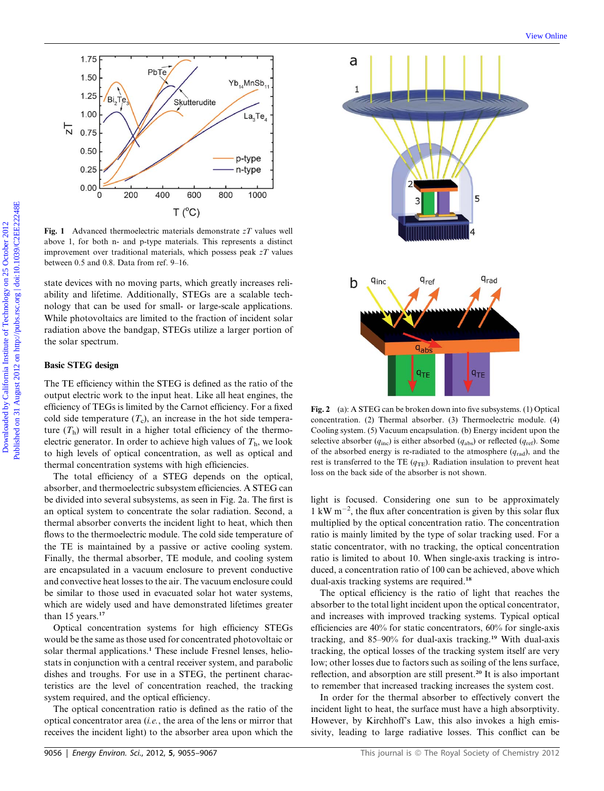

Fig. 1 Advanced thermoelectric materials demonstrate  $zT$  values well above 1, for both n- and p-type materials. This represents a distinct improvement over traditional materials, which possess peak  $zT$  values between 0.5 and 0.8. Data from ref. 9–16.

state devices with no moving parts, which greatly increases reliability and lifetime. Additionally, STEGs are a scalable technology that can be used for small- or large-scale applications. While photovoltaics are limited to the fraction of incident solar radiation above the bandgap, STEGs utilize a larger portion of the solar spectrum.

### Basic STEG design

The TE efficiency within the STEG is defined as the ratio of the output electric work to the input heat. Like all heat engines, the efficiency of TEGs is limited by the Carnot efficiency. For a fixed cold side temperature  $(T_c)$ , an increase in the hot side temperature  $(T<sub>h</sub>)$  will result in a higher total efficiency of the thermoelectric generator. In order to achieve high values of  $T<sub>h</sub>$ , we look to high levels of optical concentration, as well as optical and thermal concentration systems with high efficiencies.

The total efficiency of a STEG depends on the optical, absorber, and thermoelectric subsystem efficiencies. A STEG can be divided into several subsystems, as seen in Fig. 2a. The first is an optical system to concentrate the solar radiation. Second, a thermal absorber converts the incident light to heat, which then flows to the thermoelectric module. The cold side temperature of the TE is maintained by a passive or active cooling system. Finally, the thermal absorber, TE module, and cooling system are encapsulated in a vacuum enclosure to prevent conductive and convective heat losses to the air. The vacuum enclosure could be similar to those used in evacuated solar hot water systems, which are widely used and have demonstrated lifetimes greater than  $15$  years.<sup>17</sup>

Optical concentration systems for high efficiency STEGs would be the same as those used for concentrated photovoltaic or solar thermal applications.<sup>1</sup> These include Fresnel lenses, heliostats in conjunction with a central receiver system, and parabolic dishes and troughs. For use in a STEG, the pertinent characteristics are the level of concentration reached, the tracking system required, and the optical efficiency.

The optical concentration ratio is defined as the ratio of the optical concentrator area (i.e., the area of the lens or mirror that receives the incident light) to the absorber area upon which the



Fig. 2 (a): A STEG can be broken down into five subsystems. (1) Optical concentration. (2) Thermal absorber. (3) Thermoelectric module. (4) Cooling system. (5) Vacuum encapsulation. (b) Energy incident upon the selective absorber ( $q_{\text{inc}}$ ) is either absorbed ( $q_{\text{abs}}$ ) or reflected ( $q_{\text{ref}}$ ). Some of the absorbed energy is re-radiated to the atmosphere  $(q_{rad})$ , and the rest is transferred to the TE  $(q_{TE})$ . Radiation insulation to prevent heat loss on the back side of the absorber is not shown.

light is focused. Considering one sun to be approximately  $1 \text{ kW m}^{-2}$ , the flux after concentration is given by this solar flux multiplied by the optical concentration ratio. The concentration ratio is mainly limited by the type of solar tracking used. For a static concentrator, with no tracking, the optical concentration ratio is limited to about 10. When single-axis tracking is introduced, a concentration ratio of 100 can be achieved, above which dual-axis tracking systems are required.<sup>18</sup>

The optical efficiency is the ratio of light that reaches the absorber to the total light incident upon the optical concentrator, and increases with improved tracking systems. Typical optical efficiencies are 40% for static concentrators, 60% for single-axis tracking, and 85–90% for dual-axis tracking.<sup>19</sup> With dual-axis tracking, the optical losses of the tracking system itself are very low; other losses due to factors such as soiling of the lens surface, reflection, and absorption are still present.<sup>20</sup> It is also important to remember that increased tracking increases the system cost.

In order for the thermal absorber to effectively convert the incident light to heat, the surface must have a high absorptivity. However, by Kirchhoff's Law, this also invokes a high emissivity, leading to large radiative losses. This conflict can be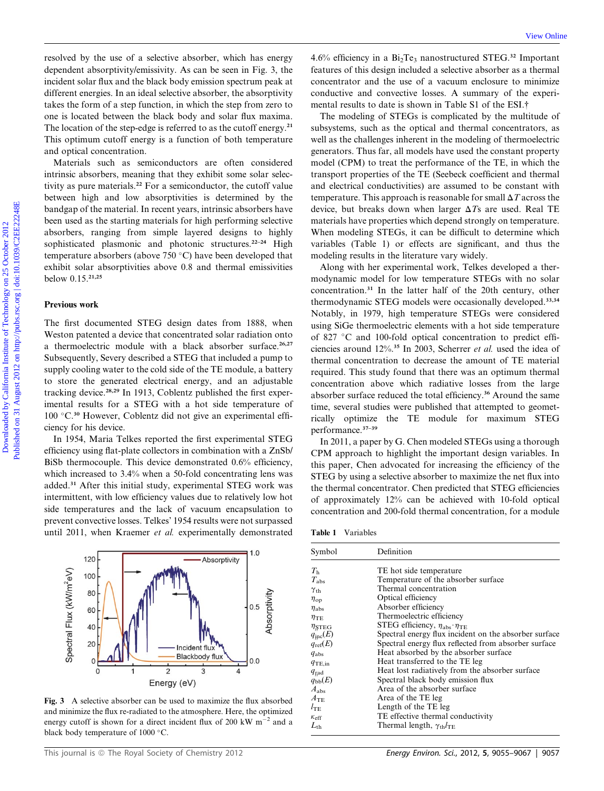resolved by the use of a selective absorber, which has energy dependent absorptivity/emissivity. As can be seen in Fig. 3, the incident solar flux and the black body emission spectrum peak at different energies. In an ideal selective absorber, the absorptivity takes the form of a step function, in which the step from zero to one is located between the black body and solar flux maxima. The location of the step-edge is referred to as the cutoff energy.<sup>21</sup> This optimum cutoff energy is a function of both temperature and optical concentration.

Materials such as semiconductors are often considered intrinsic absorbers, meaning that they exhibit some solar selectivity as pure materials.<sup>22</sup> For a semiconductor, the cutoff value between high and low absorptivities is determined by the bandgap of the material. In recent years, intrinsic absorbers have been used as the starting materials for high performing selective absorbers, ranging from simple layered designs to highly sophisticated plasmonic and photonic structures.<sup>22-24</sup> High temperature absorbers (above  $750 °C$ ) have been developed that exhibit solar absorptivities above 0.8 and thermal emissivities below 0.15.21,25

### Previous work

120

100 80

> 60 40 20

> > $\Omega$

Spectral Flux (kW/m<sup>2</sup>eV)

The first documented STEG design dates from 1888, when Weston patented a device that concentrated solar radiation onto a thermoelectric module with a black absorber surface.<sup>26,27</sup> Subsequently, Severy described a STEG that included a pump to supply cooling water to the cold side of the TE module, a battery to store the generated electrical energy, and an adjustable tracking device.<sup>28,29</sup> In 1913, Coblentz published the first experimental results for a STEG with a hot side temperature of  $100 \degree C$ .<sup>30</sup> However, Coblentz did not give an experimental efficiency for his device.

In 1954, Maria Telkes reported the first experimental STEG efficiency using flat-plate collectors in combination with a ZnSb/ BiSb thermocouple. This device demonstrated 0.6% efficiency, which increased to 3.4% when a 50-fold concentrating lens was added.<sup>31</sup> After this initial study, experimental STEG work was intermittent, with low efficiency values due to relatively low hot side temperatures and the lack of vacuum encapsulation to prevent convective losses. Telkes' 1954 results were not surpassed until 2011, when Kraemer et al. experimentally demonstrated



Fig. 3 A selective absorber can be used to maximize the flux absorbed

 $\overline{c}$ 

Energy (eV)

Incident flux Blackbody flu:

3

1

4.6% efficiency in a  $Bi_2Te_3$  nanostructured STEG.<sup>32</sup> Important features of this design included a selective absorber as a thermal concentrator and the use of a vacuum enclosure to minimize conductive and convective losses. A summary of the experimental results to date is shown in Table S1 of the ESI.†

The modeling of STEGs is complicated by the multitude of subsystems, such as the optical and thermal concentrators, as well as the challenges inherent in the modeling of thermoelectric generators. Thus far, all models have used the constant property model (CPM) to treat the performance of the TE, in which the transport properties of the TE (Seebeck coefficient and thermal and electrical conductivities) are assumed to be constant with temperature. This approach is reasonable for small  $\Delta T$  across the device, but breaks down when larger  $\Delta T$ s are used. Real TE materials have properties which depend strongly on temperature. When modeling STEGs, it can be difficult to determine which variables (Table 1) or effects are significant, and thus the modeling results in the literature vary widely.

Along with her experimental work, Telkes developed a thermodynamic model for low temperature STEGs with no solar concentration.<sup>31</sup> In the latter half of the 20th century, other thermodynamic STEG models were occasionally developed.<sup>33,34</sup> Notably, in 1979, high temperature STEGs were considered using SiGe thermoelectric elements with a hot side temperature of 827  $\degree$ C and 100-fold optical concentration to predict efficiencies around 12%.<sup>35</sup> In 2003, Scherrer et al. used the idea of thermal concentration to decrease the amount of TE material required. This study found that there was an optimum thermal concentration above which radiative losses from the large absorber surface reduced the total efficiency.<sup>36</sup> Around the same time, several studies were published that attempted to geometrically optimize the TE module for maximum STEG performance.37–39 reselved. by the ass of a solveing shearlier, which has energy  $4.6\%$ . Chicange in BigTe, annoxinations dependent about the animal population in the state function and the distinguished as about consider a shear of the a

In 2011, a paper by G. Chen modeled STEGs using a thorough CPM approach to highlight the important design variables. In this paper, Chen advocated for increasing the efficiency of the STEG by using a selective absorber to maximize the net flux into the thermal concentrator. Chen predicted that STEG efficiencies of approximately 12% can be achieved with 10-fold optical concentration and 200-fold thermal concentration, for a module

Table 1 Variables

 $1.0$ 

 $0.0$ 

Absorptivity  $0.5$ 

Absorptivity

| Symbol                  | Definition<br>TE hot side temperature                       |  |
|-------------------------|-------------------------------------------------------------|--|
| T <sub>h</sub>          |                                                             |  |
| $T_{\rm abs}$           | Temperature of the absorber surface                         |  |
| $\gamma_{\text{th}}$    | Thermal concentration                                       |  |
| $\eta_{\rm op}$         | Optical efficiency                                          |  |
| $\eta_{\rm abs}$        | Absorber efficiency                                         |  |
| $\eta_{\rm TE}$         | Thermoelectric efficiency                                   |  |
| $\eta_{\rm STEG}$       | STEG efficiency, $\eta_{\text{abs}} \cdot \eta_{\text{TE}}$ |  |
| $q_{\text{inc}}(E)$     | Spectral energy flux incident on the absorber surface       |  |
| $q_{\text{ref}}(E)$     | Spectral energy flux reflected from absorber surface        |  |
| $q_{\rm abs}$           | Heat absorbed by the absorber surface                       |  |
| $q_{\text{TE,in}}$      | Heat transferred to the TE leg                              |  |
| $q_{\text{rad}}$        | Heat lost radiatively from the absorber surface             |  |
| $q_{\text{bb}}(E)$      | Spectral black body emission flux                           |  |
| $A_{\rm abs}$           | Area of the absorber surface                                |  |
| $A_{\rm TE}$            | Area of the TE leg                                          |  |
| $l_{\rm TE}$            | Length of the TE leg                                        |  |
| $\kappa$ <sub>eff</sub> | TE effective thermal conductivity                           |  |
| $L_{\rm th}$            | Thermal length, $\gamma_{\text{th}}l_{\text{TE}}$           |  |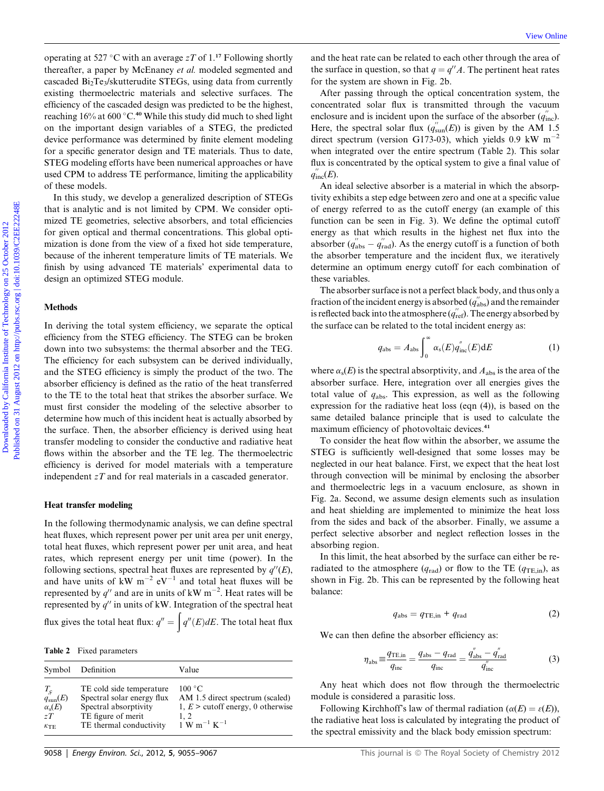operating at 527 °C with an average  $zT$  of 1.<sup>17</sup> Following shortly thereafter, a paper by McEnaney et al. modeled segmented and cascaded Bi<sub>2</sub>Te<sub>3</sub>/skutterudite STEGs, using data from currently existing thermoelectric materials and selective surfaces. The efficiency of the cascaded design was predicted to be the highest, reaching 16% at 600 °C.<sup>40</sup> While this study did much to shed light on the important design variables of a STEG, the predicted device performance was determined by finite element modeling for a specific generator design and TE materials. Thus to date, STEG modeling efforts have been numerical approaches or have used CPM to address TE performance, limiting the applicability of these models.

In this study, we develop a generalized description of STEGs that is analytic and is not limited by CPM. We consider optimized TE geometries, selective absorbers, and total efficiencies for given optical and thermal concentrations. This global optimization is done from the view of a fixed hot side temperature, because of the inherent temperature limits of TE materials. We finish by using advanced TE materials' experimental data to design an optimized STEG module.

### **Methods**

In deriving the total system efficiency, we separate the optical efficiency from the STEG efficiency. The STEG can be broken down into two subsystems: the thermal absorber and the TEG. The efficiency for each subsystem can be derived individually, and the STEG efficiency is simply the product of the two. The absorber efficiency is defined as the ratio of the heat transferred to the TE to the total heat that strikes the absorber surface. We must first consider the modeling of the selective absorber to determine how much of this incident heat is actually absorbed by the surface. Then, the absorber efficiency is derived using heat transfer modeling to consider the conductive and radiative heat flows within the absorber and the TE leg. The thermoelectric efficiency is derived for model materials with a temperature independent *zT* and for real materials in a cascaded generator. owncing at 52? C with an average of of 1.9 Following shortly and the bactivaceau in circulated so consider a model of the model of the model of the model of the model of the model of the model of the model of the model of

### Heat transfer modeling

In the following thermodynamic analysis, we can define spectral heat fluxes, which represent power per unit area per unit energy, total heat fluxes, which represent power per unit area, and heat rates, which represent energy per unit time (power). In the following sections, spectral heat fluxes are represented by  $q''(E)$ , and have units of kW  $m^{-2}$  eV<sup>-1</sup> and total heat fluxes will be represented by  $q''$  and are in units of kW m<sup>-2</sup>. Heat rates will be represented by  $q''$  in units of kW. Integration of the spectral heat flux gives the total heat flux:  $q'' = \int q''(E) dE$ . The total heat flux

Table 2 Fixed parameters

| Symbol                                                                          | Definition                                                                                                                       | Value                                                                                                          |
|---------------------------------------------------------------------------------|----------------------------------------------------------------------------------------------------------------------------------|----------------------------------------------------------------------------------------------------------------|
| $T_{\beta}$<br>$q_{\text{sun}}(E)$<br>$\alpha_s(E)$<br>$\tau T$<br>$K_{\rm TE}$ | TE cold side temperature<br>Spectral solar energy flux<br>Spectral absorptivity<br>TE figure of merit<br>TE thermal conductivity | 100 °C<br>AM 1.5 direct spectrum (scaled)<br>1, $E >$ cutoff energy, 0 otherwise<br>1.2<br>$1 W m^{-1} K^{-1}$ |

and the heat rate can be related to each other through the area of the surface in question, so that  $q = q''A$ . The pertinent heat rates for the system are shown in Fig. 2b.

After passing through the optical concentration system, the concentrated solar flux is transmitted through the vacuum enclosure and is incident upon the surface of the absorber  $(q_{\text{inc}}^{\prime})$ . Here, the spectral solar flux  $(q'_{\text{sun}}(E))$  is given by the AM 1.5 direct spectrum (version G173-03), which yields 0.9 kW  $m^{-2}$ when integrated over the entire spectrum (Table 2). This solar flux is concentrated by the optical system to give a final value of  $q_{\text{inc}}(E)$ .

An ideal selective absorber is a material in which the absorptivity exhibits a step edge between zero and one at a specific value of energy referred to as the cutoff energy (an example of this function can be seen in Fig. 3). We define the optimal cutoff energy as that which results in the highest net flux into the absorber ( $q''_{\text{abs}} - q''_{\text{rad}}$ ). As the energy cutoff is a function of both the absorber temperature and the incident flux, we iteratively determine an optimum energy cutoff for each combination of these variables.

The absorber surface is not a perfect black body, and thus only a fraction of the incident energy is absorbed  $(q'_{abs})$  and the remainder is reflected back into the atmosphere  $(q''_{\text{ref}})$ . The energy absorbed by the surface can be related to the total incident energy as:

$$
q_{\rm abs} = A_{\rm abs} \int_0^\infty \alpha_{\rm s}(E) q_{\rm inc}''(E) \mathrm{d}E \tag{1}
$$

where  $\alpha_s(E)$  is the spectral absorptivity, and  $A_{\text{abs}}$  is the area of the absorber surface. Here, integration over all energies gives the total value of  $q_{\text{abs}}$ . This expression, as well as the following expression for the radiative heat loss (eqn (4)), is based on the same detailed balance principle that is used to calculate the maximum efficiency of photovoltaic devices.<sup>41</sup>

To consider the heat flow within the absorber, we assume the STEG is sufficiently well-designed that some losses may be neglected in our heat balance. First, we expect that the heat lost through convection will be minimal by enclosing the absorber and thermoelectric legs in a vacuum enclosure, as shown in Fig. 2a. Second, we assume design elements such as insulation and heat shielding are implemented to minimize the heat loss from the sides and back of the absorber. Finally, we assume a perfect selective absorber and neglect reflection losses in the absorbing region.

In this limit, the heat absorbed by the surface can either be reradiated to the atmosphere  $(q_{rad})$  or flow to the TE  $(q_{TE,in})$ , as shown in Fig. 2b. This can be represented by the following heat balance:

$$
q_{\rm abs} = q_{\rm TE,in} + q_{\rm rad} \tag{2}
$$

We can then define the absorber efficiency as:

$$
\eta_{\text{abs}} \equiv \frac{q_{\text{TE,in}}}{q_{\text{inc}}} = \frac{q_{\text{abs}} - q_{\text{rad}}}{q_{\text{inc}}} = \frac{q_{\text{abs}}^{\prime} - q_{\text{rad}}^{\prime}}{q_{\text{inc}}^{\prime\prime}} \tag{3}
$$

Any heat which does not flow through the thermoelectric module is considered a parasitic loss.

Following Kirchhoff's law of thermal radiation ( $\alpha(E) = \varepsilon(E)$ ), the radiative heat loss is calculated by integrating the product of the spectral emissivity and the black body emission spectrum: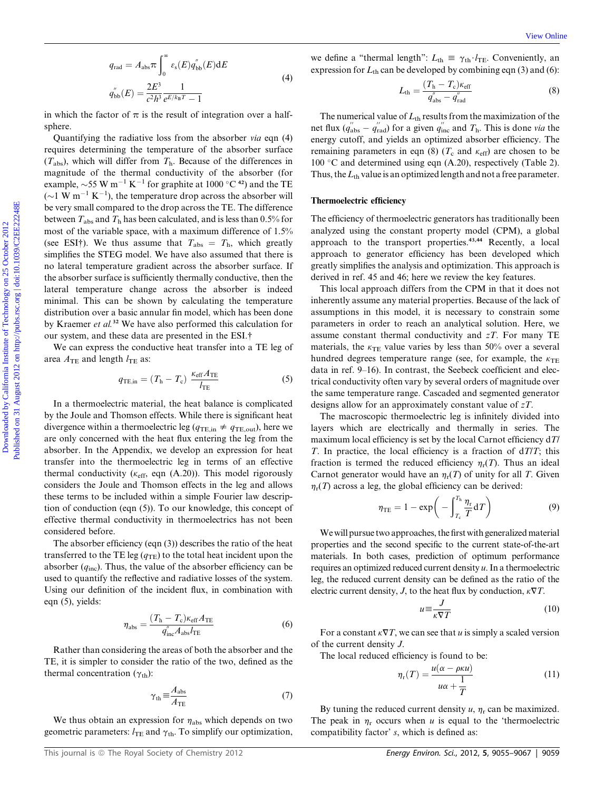$$
q_{\text{rad}} = A_{\text{abs}} \pi \int_0^\infty \varepsilon_{\text{s}}(E) q_{\text{bb}}''(E) dE
$$
  

$$
q_{\text{bb}}''(E) = \frac{2E^3}{c^2 h^3} \frac{1}{e^{E/k_B T} - 1}
$$
 (4)

in which the factor of  $\pi$  is the result of integration over a halfsphere.

Quantifying the radiative loss from the absorber via eqn (4) requires determining the temperature of the absorber surface  $(T_{\text{abs}})$ , which will differ from  $T_{\text{h}}$ . Because of the differences in magnitude of the thermal conductivity of the absorber (for example,  $\sim$  55 W m<sup>-1</sup> K<sup>-1</sup> for graphite at 1000 °C<sup>42</sup>) and the TE  $(\sim 1 \text{ W m}^{-1} \text{ K}^{-1})$ , the temperature drop across the absorber will be very small compared to the drop across the TE. The difference between  $T_{\text{abs}}$  and  $T_{\text{h}}$  has been calculated, and is less than 0.5% for most of the variable space, with a maximum difference of 1.5% (see ESI†). We thus assume that  $T_{\text{abs}} = T_{\text{h}}$ , which greatly simplifies the STEG model. We have also assumed that there is no lateral temperature gradient across the absorber surface. If the absorber surface is sufficiently thermally conductive, then the lateral temperature change across the absorber is indeed minimal. This can be shown by calculating the temperature distribution over a basic annular fin model, which has been done by Kraemer *et al.*<sup>32</sup> We have also performed this calculation for our system, and these data are presented in the ESI.†  $q_{\text{tot}} = A_{\text{tot}}\pi_{\text{tot}}(E)q_{\text{tot}}(E)dB$ <br>  $q_{\text{tot}}(E) = \frac{2\pi}{c}k^2 e^{i\omega_0 t} - 1$ <br>  $\frac{1}{c}k^2 e^{i\omega_0 t} - 1$ <br>
in which the future in is highered integration over a half . The<br>unmerical of  $L_{\text{in}} = \frac{1}{c}k^2 e^{i\omega_0 t} - 1$ <br>
in

We can express the conductive heat transfer into a TE leg of area  $A_{\text{TE}}$  and length  $l_{\text{TE}}$  as:

$$
q_{\text{TE,in}} = (T_{\text{h}} - T_{\text{c}}) \frac{\kappa_{\text{eff}} A_{\text{TE}}}{l_{\text{TE}}}
$$
 (5)

In a thermoelectric material, the heat balance is complicated by the Joule and Thomson effects. While there is significant heat divergence within a thermoelectric leg ( $q_{TE,in} \neq q_{TE,out}$ ), here we are only concerned with the heat flux entering the leg from the absorber. In the Appendix, we develop an expression for heat transfer into the thermoelectric leg in terms of an effective thermal conductivity ( $\kappa_{\text{eff}}$ , eqn (A.20)). This model rigorously considers the Joule and Thomson effects in the leg and allows these terms to be included within a simple Fourier law description of conduction (eqn (5)). To our knowledge, this concept of effective thermal conductivity in thermoelectrics has not been considered before.

The absorber efficiency (eqn (3)) describes the ratio of the heat transferred to the TE leg  $(q_{TE})$  to the total heat incident upon the absorber  $(q_{\text{inc}})$ . Thus, the value of the absorber efficiency can be used to quantify the reflective and radiative losses of the system. Using our definition of the incident flux, in combination with eqn (5), yields:

$$
\eta_{\rm abs} = \frac{(T_{\rm h} - T_{\rm c})\kappa_{\rm eff}A_{\rm TE}}{q_{\rm inc}^{"}A_{\rm abs}I_{\rm TE}}\tag{6}
$$

Rather than considering the areas of both the absorber and the TE, it is simpler to consider the ratio of the two, defined as the thermal concentration  $(\gamma_{th})$ :

$$
\gamma_{\rm th} \equiv \frac{A_{\rm abs}}{A_{\rm TE}} \tag{7}
$$

We thus obtain an expression for  $\eta_{\rm abs}$  which depends on two geometric parameters:  $l_{\text{TE}}$  and  $\gamma_{\text{th}}$ . To simplify our optimization,

we define a "thermal length":  $L_{\text{th}} \equiv \gamma_{\text{th}} \cdot l_{\text{TE}}$ . Conveniently, an expression for  $L_{th}$  can be developed by combining eqn (3) and (6):

$$
L_{\rm th} = \frac{(T_{\rm h} - T_{\rm c})\kappa_{\rm eff}}{q_{\rm abs}^{\prime\prime} - q_{\rm rad}^{\prime\prime}}\tag{8}
$$

The numerical value of  $L_{th}$  results from the maximization of the net flux  $(q_{\text{abs}}'' - q_{\text{rad}}'')$  for a given  $q_{\text{inc}}''$  and  $T_{\text{h}}$ . This is done via the energy cutoff, and yields an optimized absorber efficiency. The remaining parameters in eqn (8) ( $T_c$  and  $\kappa_{\text{eff}}$ ) are chosen to be 100 °C and determined using eqn (A.20), respectively (Table 2). Thus, the  $L_{th}$  value is an optimized length and not a free parameter.

### Thermoelectric efficiency

The efficiency of thermoelectric generators has traditionally been analyzed using the constant property model (CPM), a global approach to the transport properties.<sup>43,44</sup> Recently, a local approach to generator efficiency has been developed which greatly simplifies the analysis and optimization. This approach is derived in ref. 45 and 46; here we review the key features.

This local approach differs from the CPM in that it does not inherently assume any material properties. Because of the lack of assumptions in this model, it is necessary to constrain some parameters in order to reach an analytical solution. Here, we assume constant thermal conductivity and zT. For many TE materials, the  $\kappa_{\text{TE}}$  value varies by less than 50% over a several hundred degrees temperature range (see, for example, the  $\kappa_{\text{TE}}$ data in ref. 9–16). In contrast, the Seebeck coefficient and electrical conductivity often vary by several orders of magnitude over the same temperature range. Cascaded and segmented generator designs allow for an approximately constant value of zT.

The macroscopic thermoelectric leg is infinitely divided into layers which are electrically and thermally in series. The maximum local efficiency is set by the local Carnot efficiency  $dT/d$ T. In practice, the local efficiency is a fraction of  $dT/T$ ; this fraction is termed the reduced efficiency  $\eta_r(T)$ . Thus an ideal Carnot generator would have an  $\eta_r(T)$  of unity for all T. Given  $\eta_r(T)$  across a leg, the global efficiency can be derived:

$$
\eta_{\rm TE} = 1 - \exp\bigg(-\int_{T_{\rm c}}^{T_{\rm h}} \frac{\eta_{\rm r}}{T} dT\bigg) \tag{9}
$$

We will pursue two approaches, the first with generalized material properties and the second specific to the current state-of-the-art materials. In both cases, prediction of optimum performance requires an optimized reduced current density u. In a thermoelectric leg, the reduced current density can be defined as the ratio of the electric current density, J, to the heat flux by conduction,  $\kappa \nabla T$ .

$$
u \equiv \frac{J}{\kappa \nabla T} \tag{10}
$$

For a constant  $\kappa \nabla T$ , we can see that u is simply a scaled version of the current density J.

The local reduced efficiency is found to be:

$$
\eta_{\rm r}(T) = \frac{u(\alpha - \rho \kappa u)}{u\alpha + \frac{1}{T}} \tag{11}
$$

By tuning the reduced current density  $u$ ,  $\eta_r$  can be maximized. The peak in  $\eta_r$  occurs when u is equal to the 'thermoelectric compatibility factor' s, which is defined as: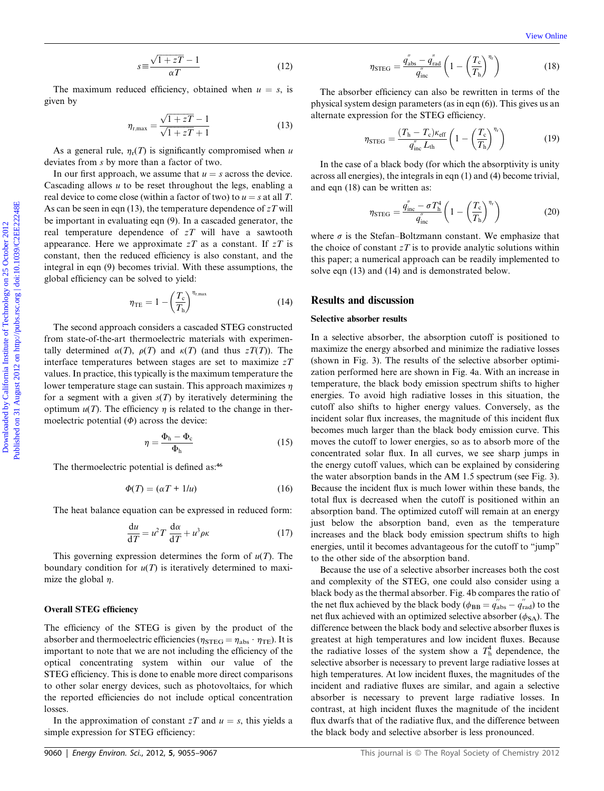$$
s \equiv \frac{\sqrt{1 + zT} - 1}{\alpha T} \tag{12}
$$

The maximum reduced efficiency, obtained when  $u = s$ , is given by

$$
\eta_{\rm r,max} = \frac{\sqrt{1+zT}-1}{\sqrt{1+zT}+1} \tag{13}
$$

As a general rule,  $\eta_r(T)$  is significantly compromised when u deviates from s by more than a factor of two.

In our first approach, we assume that  $u = s$  across the device. Cascading allows  $u$  to be reset throughout the legs, enabling a real device to come close (within a factor of two) to  $u = s$  at all T. As can be seen in eqn (13), the temperature dependence of  $zT$  will be important in evaluating eqn (9). In a cascaded generator, the real temperature dependence of  $zT$  will have a sawtooth appearance. Here we approximate  $zT$  as a constant. If  $zT$  is constant, then the reduced efficiency is also constant, and the integral in eqn (9) becomes trivial. With these assumptions, the global efficiency can be solved to yield:

$$
\eta_{\rm TE} = 1 - \left(\frac{T_{\rm c}}{T_{\rm h}}\right)^{\eta_{\rm r,max}} \tag{14}
$$

The second approach considers a cascaded STEG constructed from state-of-the-art thermoelectric materials with experimentally determined  $\alpha(T)$ ,  $\rho(T)$  and  $\kappa(T)$  (and thus  $zT(T)$ ). The interface temperatures between stages are set to maximize  $zT$ values. In practice, this typically is the maximum temperature the lower temperature stage can sustain. This approach maximizes  $\eta$ for a segment with a given  $s(T)$  by iteratively determining the optimum  $u(T)$ . The efficiency  $\eta$  is related to the change in thermoelectric potential  $(\Phi)$  across the device:

$$
\eta = \frac{\Phi_{\rm h} - \Phi_{\rm c}}{\Phi_{\rm h}}
$$
 (15)

The thermoelectric potential is defined as:<sup>46</sup>

$$
\Phi(T) = (\alpha T + 1/u) \tag{16}
$$

The heat balance equation can be expressed in reduced form:

$$
\frac{\mathrm{d}u}{\mathrm{d}T} = u^2 T \frac{\mathrm{d}\alpha}{\mathrm{d}T} + u^3 \rho \kappa \tag{17}
$$

This governing expression determines the form of  $u(T)$ . The boundary condition for  $u(T)$  is iteratively determined to maximize the global  $\eta$ .

### Overall STEG efficiency

The efficiency of the STEG is given by the product of the absorber and thermoelectric efficiencies ( $\eta_{\text{STEG}} = \eta_{\text{abs}} \cdot \eta_{\text{TE}}$ ). It is important to note that we are not including the efficiency of the optical concentrating system within our value of the STEG efficiency. This is done to enable more direct comparisons to other solar energy devices, such as photovoltaics, for which the reported efficiencies do not include optical concentration losses.

In the approximation of constant  $zT$  and  $u = s$ , this yields a simple expression for STEG efficiency:

The absorber efficiency can also be rewritten in terms of the physical system design parameters (as in eqn (6)). This gives us an alternate expression for the STEG efficiency.

$$
\eta_{\text{STEG}} = \frac{(T_{\text{h}} - T_{\text{c}}) \kappa_{\text{eff}}}{q_{\text{inc}}^{"} L_{\text{th}}} \left( 1 - \left( \frac{T_{\text{c}}}{T_{\text{h}}} \right)^{n_{\text{r}}} \right)
$$
(19)

In the case of a black body (for which the absorptivity is unity across all energies), the integrals in eqn (1) and (4) become trivial, and eqn (18) can be written as:

$$
\eta_{\text{STEG}} = \frac{q_{\text{inc}}'' - \sigma T_{\text{h}}^4}{q_{\text{inc}}''} \left( 1 - \left( \frac{T_{\text{c}}}{T_{\text{h}}} \right)^{\eta_{\text{r}}} \right) \tag{20}
$$

where  $\sigma$  is the Stefan–Boltzmann constant. We emphasize that the choice of constant  $zT$  is to provide analytic solutions within this paper; a numerical approach can be readily implemented to solve eqn (13) and (14) and is demonstrated below.

### Results and discussion

### Selective absorber results

In a selective absorber, the absorption cutoff is positioned to maximize the energy absorbed and minimize the radiative losses (shown in Fig. 3). The results of the selective absorber optimization performed here are shown in Fig. 4a. With an increase in temperature, the black body emission spectrum shifts to higher energies. To avoid high radiative losses in this situation, the cutoff also shifts to higher energy values. Conversely, as the incident solar flux increases, the magnitude of this incident flux becomes much larger than the black body emission curve. This moves the cutoff to lower energies, so as to absorb more of the concentrated solar flux. In all curves, we see sharp jumps in the energy cutoff values, which can be explained by considering the water absorption bands in the AM 1.5 spectrum (see Fig. 3). Because the incident flux is much lower within these bands, the total flux is decreased when the cutoff is positioned within an absorption band. The optimized cutoff will remain at an energy just below the absorption band, even as the temperature increases and the black body emission spectrum shifts to high energies, until it becomes advantageous for the cutoff to ''jump'' to the other side of the absorption band. The maximum reduced efficiency, obtained when  $u = 1$ . (12)  $\tan u = \sqrt{1 + \frac{r}{\sqrt{1 + \frac{r}{r}}}}$  (15)  $\tan u = \sqrt{1 + \frac{r}{\sqrt{1 + \frac{r}{r}}}}$  (15)  $\tan u = \sqrt{1 + \frac{r}{\sqrt{1 + \frac{r}{r}}}}$  (15)  $\tan u = \sqrt{1 + \frac{r}{\sqrt{1 + \frac{r}{r}}}}$  (15)  $\tan u = \sqrt{1 + \frac{r}{\sqrt{1 + \frac$ 

> Because the use of a selective absorber increases both the cost and complexity of the STEG, one could also consider using a black body as the thermal absorber. Fig. 4b compares the ratio of the net flux achieved by the black body  $(\phi_{BB} = q'_{\text{abs}} - q'_{\text{rad}})$  to the net flux achieved with an optimized selective absorber  $(\phi_{\text{tot}})$ . The net flux achieved with an optimized selective absorber  $(\phi_{SA})$ . The difference between the black body and selective absorber fluxes is greatest at high temperatures and low incident fluxes. Because the radiative losses of the system show a  $T<sub>h</sub><sup>4</sup>$  dependence, the selective absorber is necessary to prevent large radiative losses at high temperatures. At low incident fluxes, the magnitudes of the incident and radiative fluxes are similar, and again a selective absorber is necessary to prevent large radiative losses. In contrast, at high incident fluxes the magnitude of the incident flux dwarfs that of the radiative flux, and the difference between the black body and selective absorber is less pronounced.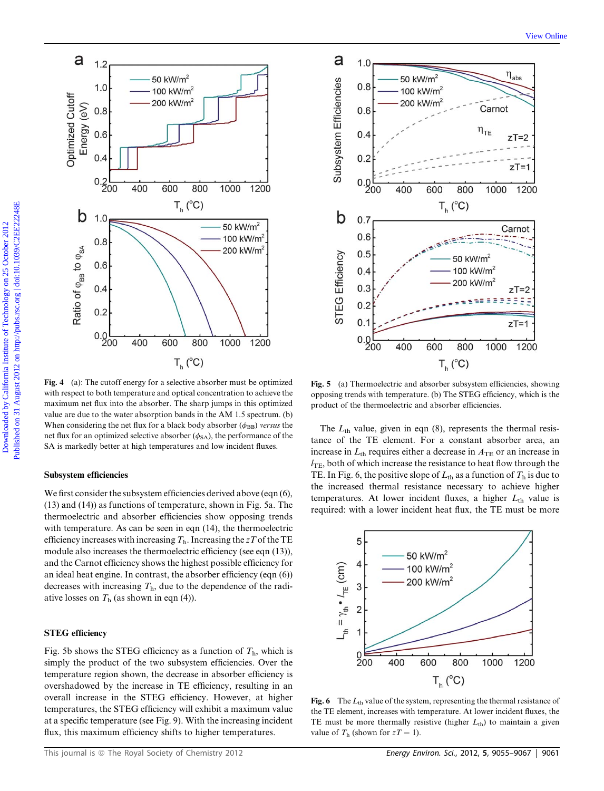

Fig. 4 (a): The cutoff energy for a selective absorber must be optimized with respect to both temperature and optical concentration to achieve the maximum net flux into the absorber. The sharp jumps in this optimized value are due to the water absorption bands in the AM 1.5 spectrum. (b) When considering the net flux for a black body absorber  $(\phi_{BB})$  versus the net flux for an optimized selective absorber  $(\phi_{SA})$ , the performance of the SA is markedly better at high temperatures and low incident fluxes.

### Subsystem efficiencies

We first consider the subsystem efficiencies derived above (eqn  $(6)$ , (13) and (14)) as functions of temperature, shown in Fig. 5a. The thermoelectric and absorber efficiencies show opposing trends with temperature. As can be seen in eqn (14), the thermoelectric efficiency increases with increasing  $T<sub>h</sub>$ . Increasing the zT of the TE module also increases the thermoelectric efficiency (see eqn (13)), and the Carnot efficiency shows the highest possible efficiency for an ideal heat engine. In contrast, the absorber efficiency (eqn (6)) decreases with increasing  $T<sub>h</sub>$ , due to the dependence of the radiative losses on  $T<sub>h</sub>$  (as shown in eqn (4)).

### STEG efficiency

Fig. 5b shows the STEG efficiency as a function of  $T<sub>h</sub>$ , which is simply the product of the two subsystem efficiencies. Over the temperature region shown, the decrease in absorber efficiency is overshadowed by the increase in TE efficiency, resulting in an overall increase in the STEG efficiency. However, at higher temperatures, the STEG efficiency will exhibit a maximum value at a specific temperature (see Fig. 9). With the increasing incident flux, this maximum efficiency shifts to higher temperatures.



Fig. 5 (a) Thermoelectric and absorber subsystem efficiencies, showing opposing trends with temperature. (b) The STEG efficiency, which is the product of the thermoelectric and absorber efficiencies.

The  $L_{th}$  value, given in eqn (8), represents the thermal resistance of the TE element. For a constant absorber area, an increase in  $L_{th}$  requires either a decrease in  $A_{TE}$  or an increase in  $l_{\text{TE}}$ , both of which increase the resistance to heat flow through the TE. In Fig. 6, the positive slope of  $L_{th}$  as a function of  $T_h$  is due to the increased thermal resistance necessary to achieve higher temperatures. At lower incident fluxes, a higher  $L_{th}$  value is required: with a lower incident heat flux, the TE must be more



Fig. 6 The  $L_{\text{th}}$  value of the system, representing the thermal resistance of the TE element, increases with temperature. At lower incident fluxes, the TE must be more thermally resistive (higher  $L_{th}$ ) to maintain a given value of  $T<sub>h</sub>$  (shown for  $zT = 1$ ).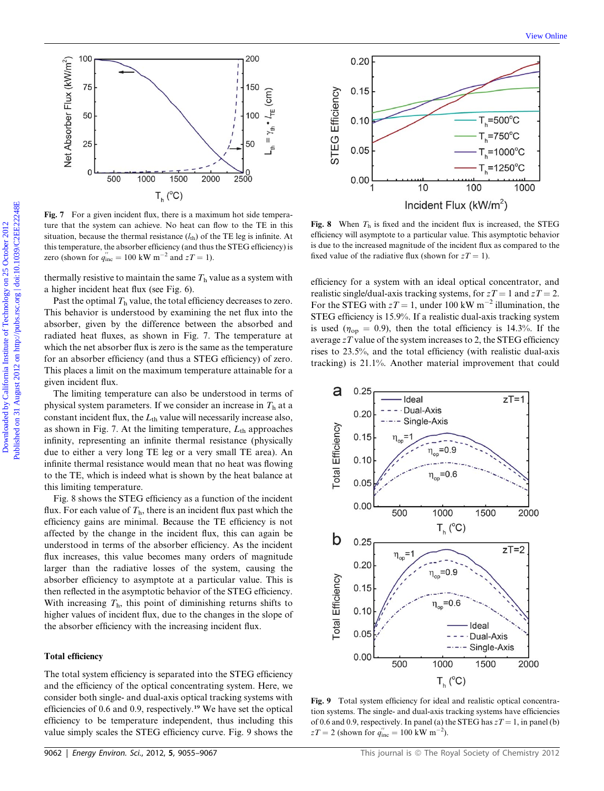

Fig. 7 For a given incident flux, there is a maximum hot side temperature that the system can achieve. No heat can flow to the TE in this situation, because the thermal resistance  $(l_{th})$  of the TE leg is infinite. At this temperature, the absorber efficiency (and thus the STEG efficiency) is zero (shown for  $q_{\text{inc}}'' = 100 \text{ kW m}^{-2}$  and  $zT = 1$ ).

thermally resistive to maintain the same  $T<sub>h</sub>$  value as a system with a higher incident heat flux (see Fig. 6).

Past the optimal  $T<sub>h</sub>$  value, the total efficiency decreases to zero. This behavior is understood by examining the net flux into the absorber, given by the difference between the absorbed and radiated heat fluxes, as shown in Fig. 7. The temperature at which the net absorber flux is zero is the same as the temperature for an absorber efficiency (and thus a STEG efficiency) of zero. This places a limit on the maximum temperature attainable for a given incident flux.

The limiting temperature can also be understood in terms of physical system parameters. If we consider an increase in  $T<sub>h</sub>$  at a constant incident flux, the  $L_{th}$  value will necessarily increase also, as shown in Fig. 7. At the limiting temperature,  $L_{th}$  approaches infinity, representing an infinite thermal resistance (physically due to either a very long TE leg or a very small TE area). An infinite thermal resistance would mean that no heat was flowing to the TE, which is indeed what is shown by the heat balance at this limiting temperature.

Fig. 8 shows the STEG efficiency as a function of the incident flux. For each value of  $T<sub>h</sub>$ , there is an incident flux past which the efficiency gains are minimal. Because the TE efficiency is not affected by the change in the incident flux, this can again be understood in terms of the absorber efficiency. As the incident flux increases, this value becomes many orders of magnitude larger than the radiative losses of the system, causing the absorber efficiency to asymptote at a particular value. This is then reflected in the asymptotic behavior of the STEG efficiency. With increasing  $T<sub>h</sub>$ , this point of diminishing returns shifts to higher values of incident flux, due to the changes in the slope of the absorber efficiency with the increasing incident flux.

### Total efficiency

The total system efficiency is separated into the STEG efficiency and the efficiency of the optical concentrating system. Here, we consider both single- and dual-axis optical tracking systems with efficiencies of 0.6 and 0.9, respectively.<sup>19</sup> We have set the optical efficiency to be temperature independent, thus including this value simply scales the STEG efficiency curve. Fig. 9 shows the



Fig. 8 When  $T<sub>b</sub>$  is fixed and the incident flux is increased, the STEG efficiency will asymptote to a particular value. This asymptotic behavior is due to the increased magnitude of the incident flux as compared to the fixed value of the radiative flux (shown for  $zT = 1$ ).

efficiency for a system with an ideal optical concentrator, and realistic single/dual-axis tracking systems, for  $zT = 1$  and  $zT = 2$ . For the STEG with  $zT = 1$ , under 100 kW m<sup>-2</sup> illumination, the STEG efficiency is 15.9%. If a realistic dual-axis tracking system is used ( $\eta_{\rm op} = 0.9$ ), then the total efficiency is 14.3%. If the average  $zT$  value of the system increases to 2, the STEG efficiency rises to 23.5%, and the total efficiency (with realistic dual-axis tracking) is 21.1%. Another material improvement that could



Fig. 9 Total system efficiency for ideal and realistic optical concentration systems. The single- and dual-axis tracking systems have efficiencies of 0.6 and 0.9, respectively. In panel (a) the STEG has  $zT = 1$ , in panel (b)  $zT = 2$  (shown for  $q_{\text{inc}}'' = 100 \text{ kW m}^{-2}$ ).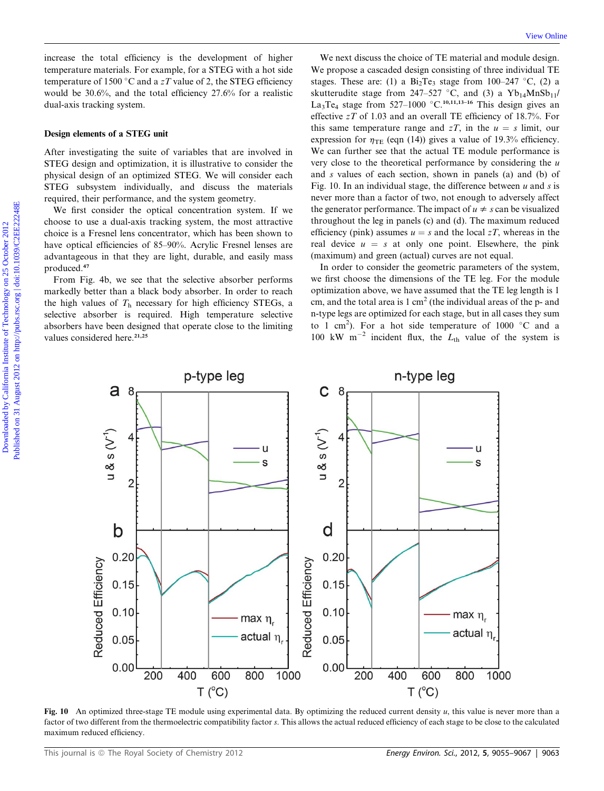increase the total efficiency is the development of higher temperature materials. For example, for a STEG with a hot side temperature of 1500 °C and a  $zT$  value of 2, the STEG efficiency would be 30.6%, and the total efficiency 27.6% for a realistic dual-axis tracking system.

### Design elements of a STEG unit

After investigating the suite of variables that are involved in STEG design and optimization, it is illustrative to consider the physical design of an optimized STEG. We will consider each STEG subsystem individually, and discuss the materials required, their performance, and the system geometry.

We first consider the optical concentration system. If we choose to use a dual-axis tracking system, the most attractive choice is a Fresnel lens concentrator, which has been shown to have optical efficiencies of 85–90%. Acrylic Fresnel lenses are advantageous in that they are light, durable, and easily mass produced.<sup>47</sup>

From Fig. 4b, we see that the selective absorber performs markedly better than a black body absorber. In order to reach the high values of  $T<sub>h</sub>$  necessary for high efficiency STEGs, a selective absorber is required. High temperature selective absorbers have been designed that operate close to the limiting values considered here.<sup>21,25</sup>

We next discuss the choice of TE material and module design. We propose a cascaded design consisting of three individual TE stages. These are: (1) a  $Bi<sub>2</sub>Te<sub>3</sub>$  stage from 100–247 °C, (2) a skutterudite stage from 247–527 °C, and (3) a  $Yb_{14}MnSb_{11}/$ La<sub>3</sub>Te<sub>4</sub> stage from 527–1000 °C.<sup>10,11,13–16</sup> This design gives an effective zT of 1.03 and an overall TE efficiency of 18.7%. For this same temperature range and  $zT$ , in the  $u = s$  limit, our expression for  $\eta_{\text{TE}}$  (eqn (14)) gives a value of 19.3% efficiency. We can further see that the actual TE module performance is very close to the theoretical performance by considering the  $u$ and s values of each section, shown in panels (a) and (b) of Fig. 10. In an individual stage, the difference between  $u$  and  $s$  is never more than a factor of two, not enough to adversely affect the generator performance. The impact of  $u \neq s$  can be visualized throughout the leg in panels (c) and (d). The maximum reduced efficiency (pink) assumes  $u = s$  and the local  $zT$ , whereas in the real device  $u = s$  at only one point. Elsewhere, the pink (maximum) and green (actual) curves are not equal. The consistent of the download on the doi:1039 October 2012 OND is the consistent and the consistent and the consistent and the consistent and the consistent of Technology on the consistent of Technology on the consistent

In order to consider the geometric parameters of the system, we first choose the dimensions of the TE leg. For the module optimization above, we have assumed that the TE leg length is 1 cm, and the total area is  $1 \text{ cm}^2$  (the individual areas of the p- and n-type legs are optimized for each stage, but in all cases they sum to 1 cm<sup>2</sup>). For a hot side temperature of 1000  $\degree$ C and a 100 kW  $m^{-2}$  incident flux, the  $L_{th}$  value of the system is



Fig. 10 An optimized three-stage TE module using experimental data. By optimizing the reduced current density  $u$ , this value is never more than a factor of two different from the thermoelectric compatibility factor s. This allows the actual reduced efficiency of each stage to be close to the calculated maximum reduced efficiency.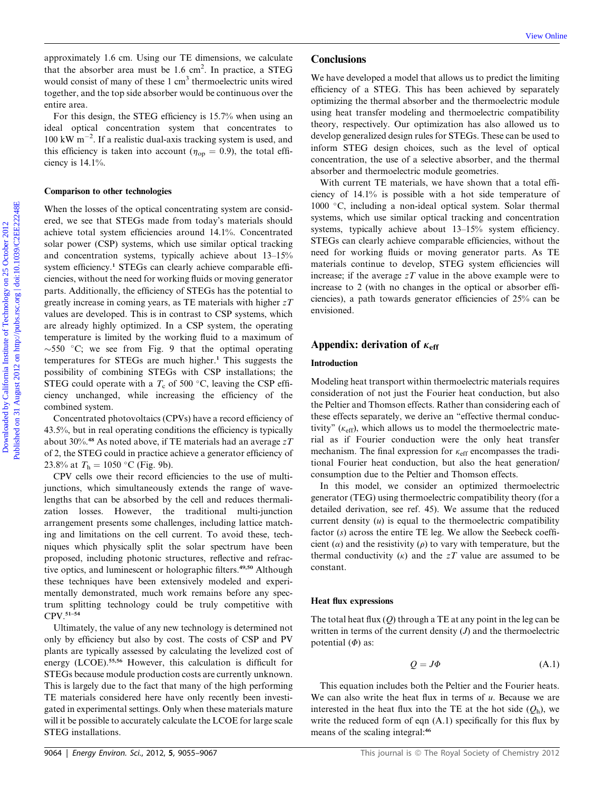approximately 1.6 cm. Using our TE dimensions, we calculate that the absorber area must be 1.6 cm<sup>2</sup>. In practice, a STEG would consist of many of these  $1 \text{ cm}^3$  thermoelectric units wired together, and the top side absorber would be continuous over the entire area.

For this design, the STEG efficiency is 15.7% when using an ideal optical concentration system that concentrates to  $100 \text{ kW m}^{-2}$ . If a realistic dual-axis tracking system is used, and this efficiency is taken into account ( $\eta_{\rm op} = 0.9$ ), the total efficiency is 14.1%.

### Comparison to other technologies

When the losses of the optical concentrating system are considered, we see that STEGs made from today's materials should achieve total system efficiencies around 14.1%. Concentrated solar power (CSP) systems, which use similar optical tracking and concentration systems, typically achieve about 13–15% system efficiency.<sup>1</sup> STEGs can clearly achieve comparable efficiencies, without the need for working fluids or moving generator parts. Additionally, the efficiency of STEGs has the potential to greatly increase in coming years, as TE materials with higher  $zT$ values are developed. This is in contrast to CSP systems, which are already highly optimized. In a CSP system, the operating temperature is limited by the working fluid to a maximum of  $\sim$  550 °C; we see from Fig. 9 that the optimal operating temperatures for STEGs are much higher.<sup>1</sup> This suggests the possibility of combining STEGs with CSP installations; the STEG could operate with a  $T_c$  of 500 °C, leaving the CSP efficiency unchanged, while increasing the efficiency of the combined system. anyon imately 1.6 cm. Using our TF dimensions, we solicide Comclusions<br>
and the absorber and mean on 18 of contributions were the distortion of TEG THE also because the contributions of the CHO and also because of the con

Concentrated photovoltaics (CPVs) have a record efficiency of 43.5%, but in real operating conditions the efficiency is typically about 30%.<sup>48</sup> As noted above, if TE materials had an average  $zT$ of 2, the STEG could in practice achieve a generator efficiency of 23.8% at  $T_h = 1050 \degree C$  (Fig. 9b).

CPV cells owe their record efficiencies to the use of multijunctions, which simultaneously extends the range of wavelengths that can be absorbed by the cell and reduces thermalization losses. However, the traditional multi-junction arrangement presents some challenges, including lattice matching and limitations on the cell current. To avoid these, techniques which physically split the solar spectrum have been proposed, including photonic structures, reflective and refractive optics, and luminescent or holographic filters.<sup>49,50</sup> Although these techniques have been extensively modeled and experimentally demonstrated, much work remains before any spectrum splitting technology could be truly competitive with CPV.51–54

Ultimately, the value of any new technology is determined not only by efficiency but also by cost. The costs of CSP and PV plants are typically assessed by calculating the levelized cost of energy (LCOE).<sup>55,56</sup> However, this calculation is difficult for STEGs because module production costs are currently unknown. This is largely due to the fact that many of the high performing TE materials considered here have only recently been investigated in experimental settings. Only when these materials mature will it be possible to accurately calculate the LCOE for large scale STEG installations.

### **Conclusions**

We have developed a model that allows us to predict the limiting efficiency of a STEG. This has been achieved by separately optimizing the thermal absorber and the thermoelectric module using heat transfer modeling and thermoelectric compatibility theory, respectively. Our optimization has also allowed us to develop generalized design rules for STEGs. These can be used to inform STEG design choices, such as the level of optical concentration, the use of a selective absorber, and the thermal absorber and thermoelectric module geometries.

With current TE materials, we have shown that a total efficiency of 14.1% is possible with a hot side temperature of  $1000 \degree C$ , including a non-ideal optical system. Solar thermal systems, which use similar optical tracking and concentration systems, typically achieve about 13–15% system efficiency. STEGs can clearly achieve comparable efficiencies, without the need for working fluids or moving generator parts. As TE materials continue to develop, STEG system efficiencies will increase; if the average  $zT$  value in the above example were to increase to 2 (with no changes in the optical or absorber efficiencies), a path towards generator efficiencies of 25% can be envisioned.

### Appendix: derivation of  $\kappa_{\text{eff}}$

### Introduction

Modeling heat transport within thermoelectric materials requires consideration of not just the Fourier heat conduction, but also the Peltier and Thomson effects. Rather than considering each of these effects separately, we derive an ''effective thermal conductivity"  $(\kappa_{\text{eff}})$ , which allows us to model the thermoelectric material as if Fourier conduction were the only heat transfer mechanism. The final expression for  $\kappa$ <sub>eff</sub> encompasses the traditional Fourier heat conduction, but also the heat generation/ consumption due to the Peltier and Thomson effects.

In this model, we consider an optimized thermoelectric generator (TEG) using thermoelectric compatibility theory (for a detailed derivation, see ref. 45). We assume that the reduced current density  $(u)$  is equal to the thermoelectric compatibility factor (s) across the entire TE leg. We allow the Seebeck coefficient ( $\alpha$ ) and the resistivity ( $\rho$ ) to vary with temperature, but the thermal conductivity  $(k)$  and the zT value are assumed to be constant.

### Heat flux expressions

The total heat flux  $(O)$  through a TE at any point in the leg can be written in terms of the current density  $(J)$  and the thermoelectric potential  $(\Phi)$  as:

$$
Q = J\Phi \tag{A.1}
$$

This equation includes both the Peltier and the Fourier heats. We can also write the heat flux in terms of  $u$ . Because we are interested in the heat flux into the TE at the hot side  $(Q_h)$ , we write the reduced form of eqn (A.1) specifically for this flux by means of the scaling integral:<sup>46</sup>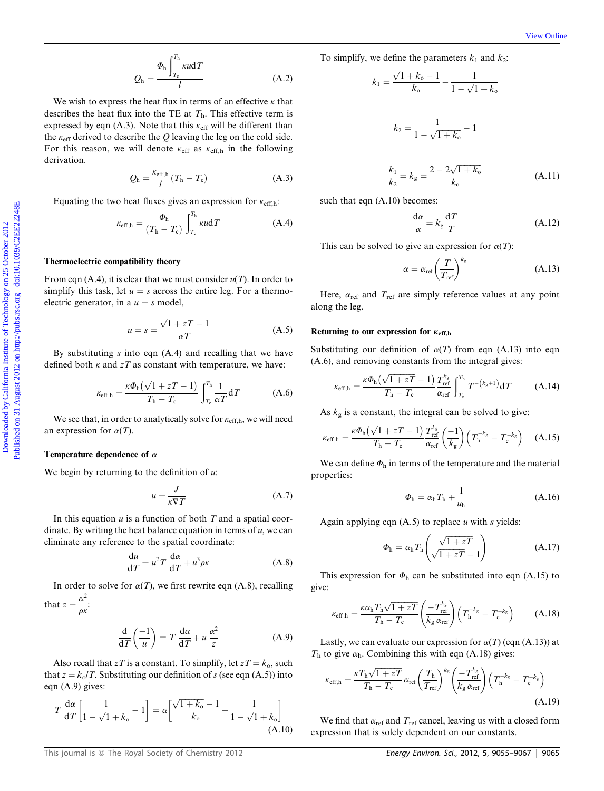$$
Q_{\rm h} = \frac{\Phi_{\rm h} \int_{T_{\rm c}}^{T_{\rm h}} \kappa u \mathrm{d}T}{l}
$$
 (A.2)

We wish to express the heat flux in terms of an effective  $\kappa$  that describes the heat flux into the TE at  $T<sub>h</sub>$ . This effective term is expressed by eqn (A.3). Note that this  $\kappa_{\text{eff}}$  will be different than the  $\kappa_{\text{eff}}$  derived to describe the Q leaving the leg on the cold side. For this reason, we will denote  $\kappa_{\text{eff}}$  as  $\kappa_{\text{eff-h}}$  in the following derivation. **Downloaded by California Institute of California Institute of California Institute of California Institute of Technology on 25 October 2012 Published on 25 October 2012 on the California Institute of Technology of This c** 

$$
Q_{\rm h} = \frac{\kappa_{\rm eff, h}}{l} (T_{\rm h} - T_{\rm c})
$$
 (A.3)

Equating the two heat fluxes gives an expression for  $\kappa_{\text{eff,h}}$ :

$$
\kappa_{\text{eff,h}} = \frac{\Phi_{\text{h}}}{(T_{\text{h}} - T_{\text{c}})} \int_{T_{\text{c}}}^{T_{\text{h}}} \kappa u \, dT \tag{A.4}
$$

### Thermoelectric compatibility theory

From eqn (A.4), it is clear that we must consider  $u(T)$ . In order to simplify this task, let  $u = s$  across the entire leg. For a thermoelectric generator, in a  $u = s$  model,

$$
u = s = \frac{\sqrt{1 + zT} - 1}{\alpha T}
$$
 (A.5)

By substituting  $s$  into eqn  $(A.4)$  and recalling that we have defined both  $\kappa$  and  $zT$  as constant with temperature, we have:

$$
\kappa_{\text{eff,h}} = \frac{\kappa \Phi_{\text{h}} \left( \sqrt{1 + zT} - 1 \right)}{T_{\text{h}} - T_{\text{c}}} \int_{T_{\text{c}}}^{T_{\text{h}}} \frac{1}{\alpha T} dT \tag{A.6}
$$

We see that, in order to analytically solve for  $\kappa_{\rm eff, h}$ , we will need an expression for  $\alpha(T)$ .

### Temperature dependence of  $\alpha$

We begin by returning to the definition of *:* 

$$
u = \frac{J}{\kappa \nabla T}
$$
 (A.7)

In this equation  $u$  is a function of both  $T$  and a spatial coordinate. By writing the heat balance equation in terms of  $u$ , we can eliminate any reference to the spatial coordinate:

$$
\frac{\mathrm{d}u}{\mathrm{d}T} = u^2 T \frac{\mathrm{d}\alpha}{\mathrm{d}T} + u^3 \rho \kappa \tag{A.8}
$$

In order to solve for  $\alpha(T)$ , we first rewrite eqn (A.8), recalling that  $z = \frac{\alpha^2}{\rho \kappa}$ :

$$
\frac{\mathrm{d}}{\mathrm{d}T}\left(\frac{-1}{u}\right) = T\,\frac{\mathrm{d}\alpha}{\mathrm{d}T} + u\,\frac{\alpha^2}{z} \tag{A.9}
$$

Also recall that zT is a constant. To simplify, let  $zT = k_0$ , such that  $z = k_0/T$ . Substituting our definition of s (see eqn (A.5)) into eqn (A.9) gives:

$$
T\frac{d\alpha}{dT}\left[\frac{1}{1-\sqrt{1+k_0}}-1\right] = \alpha\left[\frac{\sqrt{1+k_0}-1}{k_0} - \frac{1}{1-\sqrt{1+k_0}}\right]
$$
(A.10)

$$
k_1 = \frac{\sqrt{1 + k_o} - 1}{k_o} - \frac{1}{1 - \sqrt{1 + k_o}}
$$

$$
k_2 = \frac{1}{1 - \sqrt{1 + k_o}} - 1
$$

$$
\frac{k_1}{k_2} = k_g = \frac{2 - 2\sqrt{1 + k_o}}{k_o}
$$
 (A.11)

such that eqn  $(A.10)$  becomes:

$$
\frac{d\alpha}{\alpha} = k_g \frac{dT}{T}
$$
 (A.12)

This can be solved to give an expression for  $\alpha(T)$ :

$$
\alpha = \alpha_{\text{ref}} \left(\frac{T}{T_{\text{ref}}}\right)^{k_{\text{g}}} \tag{A.13}
$$

Here,  $\alpha_{ref}$  and  $T_{ref}$  are simply reference values at any point along the leg.

### Returning to our expression for  $\kappa_{\rm eff,h}$

Substituting our definition of  $\alpha(T)$  from eqn (A.13) into eqn (A.6), and removing constants from the integral gives:

$$
\kappa_{\text{eff,h}} = \frac{\kappa \Phi_{\text{h}} \left( \sqrt{1 + zT} - 1 \right)}{T_{\text{h}} - T_{\text{c}}} \frac{T_{\text{ref}}^{k_{\text{g}}} \int_{T_{\text{c}}}^{T_{\text{h}}} T^{-\left(k_{\text{g}} + 1\right)} dT \tag{A.14}
$$

As  $k_g$  is a constant, the integral can be solved to give:

$$
\kappa_{\text{eff,h}} = \frac{\kappa \Phi_{\text{h}} \left( \sqrt{1 + zT} - 1 \right)}{T_{\text{h}} - T_{\text{c}}} \frac{T_{\text{ref}}^{k_{\text{g}}} \left( \frac{-1}{k_{\text{g}}} \right) \left( T_{\text{h}}^{-k_{\text{g}}} - T_{\text{c}}^{-k_{\text{g}}} \right) \quad (A.15)
$$

We can define  $\Phi_h$  in terms of the temperature and the material properties:

$$
\Phi_{\rm h} = \alpha_{\rm h} T_{\rm h} + \frac{1}{u_{\rm h}} \tag{A.16}
$$

Again applying eqn  $(A.5)$  to replace u with s yields:

$$
\Phi_{\rm h} = \alpha_{\rm h} T_{\rm h} \left( \frac{\sqrt{1+zT}}{\sqrt{1+zT}-1} \right) \tag{A.17}
$$

This expression for  $\Phi_h$  can be substituted into eqn (A.15) to give:

$$
\kappa_{\rm eff,h} = \frac{\kappa \alpha_{\rm h} T_{\rm h} \sqrt{1 + zT}}{T_{\rm h} - T_{\rm c}} \left( \frac{-T_{\rm ref}^{k_{\rm g}}}{k_{\rm g} \alpha_{\rm ref}} \right) \left( T_{\rm h}^{-k_{\rm g}} - T_{\rm c}^{-k_{\rm g}} \right) \tag{A.18}
$$

Lastly, we can evaluate our expression for  $\alpha(T)$  (eqn (A.13)) at  $T<sub>h</sub>$  to give  $\alpha<sub>h</sub>$ . Combining this with eqn (A.18) gives:

$$
\kappa_{\rm eff,h} = \frac{\kappa T_{\rm h} \sqrt{1+zT}}{T_{\rm h} - T_{\rm c}} \alpha_{\rm ref} \left(\frac{T_{\rm h}}{T_{\rm ref}}\right)^{k_{\rm g}} \left(\frac{-T_{\rm ref}^{k_{\rm g}}}{k_{\rm g} \alpha_{\rm ref}}\right) \left(T_{\rm h}^{-k_{\rm g}} - T_{\rm c}^{-k_{\rm g}}\right)
$$
\n(A.19)

We find that  $\alpha_{\text{ref}}$  and  $T_{\text{ref}}$  cancel, leaving us with a closed form expression that is solely dependent on our constants.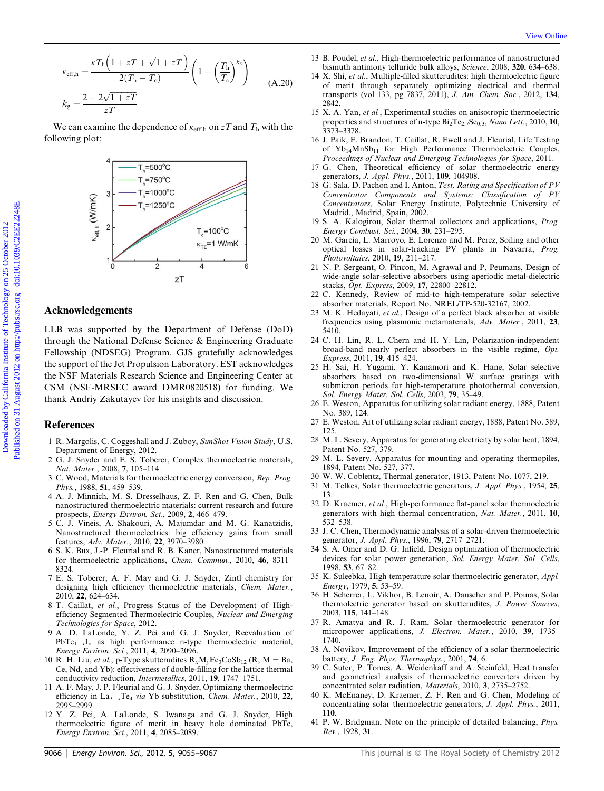$$
\kappa_{\text{eff,h}} = \frac{\kappa T_{\text{h}} \left( 1 + zT + \sqrt{1 + zT} \right)}{2(T_{\text{h}} - T_{\text{c}})} \left( 1 - \left( \frac{T_{\text{h}}}{T_{\text{c}}} \right)^{k_{\text{g}}} \right)
$$
\n
$$
k_{\text{g}} = \frac{2 - 2\sqrt{1 + zT}}{zT}
$$
\n(A.20)

We can examine the dependence of  $\kappa_{\text{eff,h}}$  on  $zT$  and  $T_h$  with the following plot:

# Downloaded by California Institute of Technology on 25 October 2012 Published on 31 August 2012 on http://pubs.rsc.org | doi:10.1039/C2EE22248E [View Online](http://dx.doi.org/10.1039/c2ee22248e)

### Acknowledgements

LLB was supported by the Department of Defense (DoD) through the National Defense Science & Engineering Graduate Fellowship (NDSEG) Program. GJS gratefully acknowledges the support of the Jet Propulsion Laboratory. EST acknowledges the NSF Materials Research Science and Engineering Center at CSM (NSF-MRSEC award DMR0820518) for funding. We thank Andriy Zakutayev for his insights and discussion.

### References

- 1 R. Margolis, C. Coggeshall and J. Zuboy, SunShot Vision Study, U.S. Department of Energy, 2012.
- 2 G. J. Snyder and E. S. Toberer, Complex thermoelectric materials, Nat. Mater., 2008, 7, 105–114.
- 3 C. Wood, Materials for thermoelectric energy conversion, Rep. Prog. Phys., 1988, 51, 459–539.
- 4 A. J. Minnich, M. S. Dresselhaus, Z. F. Ren and G. Chen, Bulk nanostructured thermoelectric materials: current research and future prospects, Energy Environ. Sci., 2009, 2, 466–479.
- 5 C. J. Vineis, A. Shakouri, A. Majumdar and M. G. Kanatzidis, Nanostructured thermoelectrics: big efficiency gains from small features, Adv. Mater., 2010, 22, 3970–3980.
- 6 S. K. Bux, J.-P. Fleurial and R. B. Kaner, Nanostructured materials for thermoelectric applications, Chem. Commun., 2010, 46, 8311– 8324.
- 7 E. S. Toberer, A. F. May and G. J. Snyder, Zintl chemistry for designing high efficiency thermoelectric materials, Chem. Mater., 2010, 22, 624–634.
- 8 T. Caillat, et al., Progress Status of the Development of Highefficiency Segmented Thermoelectric Couples, Nuclear and Emerging Technologies for Space, 2012.
- 9 A. D. LaLonde, Y. Z. Pei and G. J. Snyder, Reevaluation of  $PbTe_{1-x}I_x$  as high performance n-type thermoelectric material, Energy Environ. Sci., 2011, 4, 2090–2096.
- 10 R. H. Liu, et al., p-Type skutterudites  $R_xM_yFe_3CoSb_{12}$  (R, M = Ba, Ce, Nd, and Yb): effectiveness of double-filling for the lattice thermal conductivity reduction, Intermetallics, 2011, 19, 1747-1751.
- 11 A. F. May, J. P. Fleurial and G. J. Snyder, Optimizing thermoelectric efficiency in  $La_{3-x}Te_4$  via Yb substitution, Chem. Mater., 2010, 22, 2995–2999.
- 12 Y. Z. Pei, A. LaLonde, S. Iwanaga and G. J. Snyder, High thermoelectric figure of merit in heavy hole dominated PbTe, Energy Environ. Sci., 2011, 4, 2085–2089.
- 13 B. Poudel, et al., High-thermoelectric performance of nanostructured bismuth antimony telluride bulk alloys, Science, 2008, 320, 634–638.
- 14 X. Shi, et al., Multiple-filled skutterudites: high thermoelectric figure of merit through separately optimizing electrical and thermal transports (vol 133, pg 7837, 2011), J. Am. Chem. Soc., 2012, 134, 2842.
- 15 X. A. Yan, et al., Experimental studies on anisotropic thermoelectric properties and structures of n-type  $Bi_2Te_{2.7Se_{0.3}}$ , Nano Lett., 2010, 10, 3373–3378.
- 16 J. Paik, E. Brandon, T. Caillat, R. Ewell and J. Fleurial, Life Testing of  $Yb_{14}MnSb_{11}$  for High Performance Thermoelectric Couples, Proceedings of Nuclear and Emerging Technologies for Space, 2011.
- 17 G. Chen, Theoretical efficiency of solar thermoelectric energy generators, J. Appl. Phys., 2011, 109, 104908.
- 18 G. Sala, D. Pachon and I. Anton, Test, Rating and Specification of PV Concentrator Components and Systems: Classification of PV Concentrators, Solar Energy Institute, Polytechnic University of Madrid., Madrid, Spain, 2002.
- 19 S. A. Kalogirou, Solar thermal collectors and applications, Prog. Energy Combust. Sci., 2004, 30, 231–295.
- 20 M. Garcia, L. Marroyo, E. Lorenzo and M. Perez, Soiling and other optical losses in solar-tracking PV plants in Navarra, Prog. Photovoltaics, 2010, 19, 211–217.
- 21 N. P. Sergeant, O. Pincon, M. Agrawal and P. Peumans, Design of wide-angle solar-selective absorbers using aperiodic metal-dielectric stacks, Opt. Express, 2009, 17, 22800–22812.
- 22 C. Kennedy, Review of mid-to high-temperature solar selective absorber materials, Report No. NREL/TP-520-32167, 2002.
- 23 M. K. Hedayati, et al., Design of a perfect black absorber at visible frequencies using plasmonic metamaterials, Adv. Mater., 2011, 23, 5410.
- 24 C. H. Lin, R. L. Chern and H. Y. Lin, Polarization-independent broad-band nearly perfect absorbers in the visible regime, Opt. Express, 2011, 19, 415–424.
- 25 H. Sai, H. Yugami, Y. Kanamori and K. Hane, Solar selective absorbers based on two-dimensional W surface gratings with submicron periods for high-temperature photothermal conversion, Sol. Energy Mater. Sol. Cells, 2003, 79, 35–49.
- 26 E. Weston, Apparatus for utilizing solar radiant energy, 1888, Patent No. 389, 124.
- 27 E. Weston, Art of utilizing solar radiant energy, 1888, Patent No. 389, 125.
- 28 M. L. Severy, Apparatus for generating electricity by solar heat, 1894, Patent No. 527, 379.
- 29 M. L. Severy, Apparatus for mounting and operating thermopiles, 1894, Patent No. 527, 377.
- 30 W. W. Coblentz, Thermal generator, 1913, Patent No. 1077, 219.
- 31 M. Telkes, Solar thermoelectric generators, J. Appl. Phys., 1954, 25, 13.
- 32 D. Kraemer, et al., High-performance flat-panel solar thermoelectric generators with high thermal concentration, Nat. Mater., 2011, 10, 532–538.
- 33 J. C. Chen, Thermodynamic analysis of a solar-driven thermoelectric generator, J. Appl. Phys., 1996, 79, 2717–2721.
- 34 S. A. Omer and D. G. Infield, Design optimization of thermoelectric devices for solar power generation, Sol. Energy Mater. Sol. Cells, 1998, 53, 67–82.
- 35 K. Suleebka, High temperature solar thermoelectric generator, Appl. Energy, 1979, 5, 53–59.
- 36 H. Scherrer, L. Vikhor, B. Lenoir, A. Dauscher and P. Poinas, Solar thermolectric generator based on skutterudites, J. Power Sources, 2003, 115, 141–148.
- 37 R. Amatya and R. J. Ram, Solar thermoelectric generator for micropower applications, J. Electron. Mater., 2010, 39, 1735– 1740.
- 38 A. Novikov, Improvement of the efficiency of a solar thermoelectric battery, J. Eng. Phys. Thermophys., 2001, 74, 6.
- 39 C. Suter, P. Tomes, A. Weidenkaff and A. Steinfeld, Heat transfer and geometrical analysis of thermoelectric converters driven by concentrated solar radiation, Materials, 2010, 3, 2735–2752.
- 40 K. McEnaney, D. Kraemer, Z. F. Ren and G. Chen, Modeling of concentrating solar thermoelectric generators, J. Appl. Phys., 2011, 110.
- 41 P. W. Bridgman, Note on the principle of detailed balancing, Phys. Rev., 1928, 31.